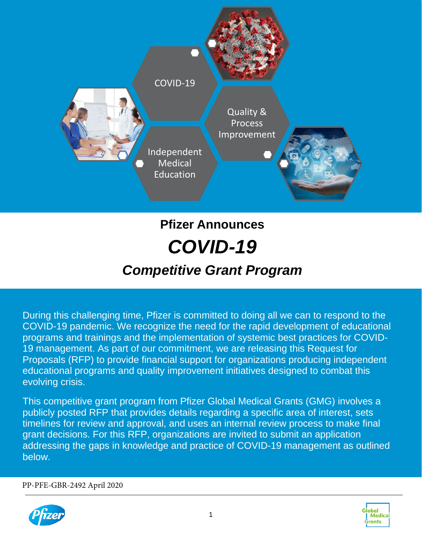

# **Pfizer Announces** *COVID-19 Competitive Grant Program*

During this challenging time, Pfizer is committed to doing all we can to respond to the COVID-19 pandemic. We recognize the need for the rapid development of educational programs and trainings and the implementation of systemic best practices for COVID-19 management. As part of our commitment, we are releasing this Request for Proposals (RFP) to provide financial support for organizations producing independent educational programs and quality improvement initiatives designed to combat this evolving crisis.

This competitive grant program from Pfizer Global Medical Grants (GMG) involves a publicly posted RFP that provides details regarding a specific area of interest, sets timelines for review and approval, and uses an internal review process to make final grant decisions. For this RFP, organizations are invited to submit an application addressing the gaps in knowledge and practice of COVID-19 management as outlined below.

PP-PFE-GBR-2492 April 2020



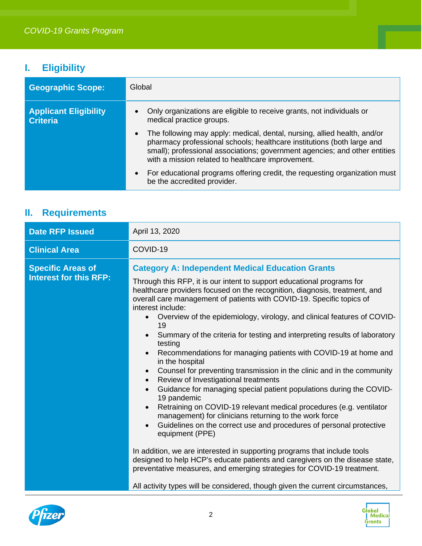## **I. Eligibility**

| <b>Geographic Scope:</b>                        | Global                                                                                                                                                                                                                                                                                |  |  |
|-------------------------------------------------|---------------------------------------------------------------------------------------------------------------------------------------------------------------------------------------------------------------------------------------------------------------------------------------|--|--|
| <b>Applicant Eligibility</b><br><b>Criteria</b> | Only organizations are eligible to receive grants, not individuals or<br>medical practice groups.                                                                                                                                                                                     |  |  |
|                                                 | The following may apply: medical, dental, nursing, allied health, and/or<br>pharmacy professional schools; healthcare institutions (both large and<br>small); professional associations; government agencies; and other entities<br>with a mission related to healthcare improvement. |  |  |
|                                                 | For educational programs offering credit, the requesting organization must<br>be the accredited provider.                                                                                                                                                                             |  |  |

## **II. Requirements**

| <b>Date RFP Issued</b>                                    | April 13, 2020                                                                                                                                                                                                                                                                                                                                                                                                                                                                                                                                                                                                                                                                                                                                                                                                                                                                                                                                                                                                                                                                                                                                                                                                                                                                                                                                                                               |  |
|-----------------------------------------------------------|----------------------------------------------------------------------------------------------------------------------------------------------------------------------------------------------------------------------------------------------------------------------------------------------------------------------------------------------------------------------------------------------------------------------------------------------------------------------------------------------------------------------------------------------------------------------------------------------------------------------------------------------------------------------------------------------------------------------------------------------------------------------------------------------------------------------------------------------------------------------------------------------------------------------------------------------------------------------------------------------------------------------------------------------------------------------------------------------------------------------------------------------------------------------------------------------------------------------------------------------------------------------------------------------------------------------------------------------------------------------------------------------|--|
| <b>Clinical Area</b>                                      | COVID-19                                                                                                                                                                                                                                                                                                                                                                                                                                                                                                                                                                                                                                                                                                                                                                                                                                                                                                                                                                                                                                                                                                                                                                                                                                                                                                                                                                                     |  |
| <b>Specific Areas of</b><br><b>Interest for this RFP:</b> | <b>Category A: Independent Medical Education Grants</b><br>Through this RFP, it is our intent to support educational programs for<br>healthcare providers focused on the recognition, diagnosis, treatment, and<br>overall care management of patients with COVID-19. Specific topics of<br>interest include:<br>Overview of the epidemiology, virology, and clinical features of COVID-<br>19<br>Summary of the criteria for testing and interpreting results of laboratory<br>testing<br>Recommendations for managing patients with COVID-19 at home and<br>in the hospital<br>Counsel for preventing transmission in the clinic and in the community<br>$\bullet$<br>Review of Investigational treatments<br>$\bullet$<br>Guidance for managing special patient populations during the COVID-<br>$\bullet$<br>19 pandemic<br>Retraining on COVID-19 relevant medical procedures (e.g. ventilator<br>$\bullet$<br>management) for clinicians returning to the work force<br>Guidelines on the correct use and procedures of personal protective<br>equipment (PPE)<br>In addition, we are interested in supporting programs that include tools<br>designed to help HCP's educate patients and caregivers on the disease state,<br>preventative measures, and emerging strategies for COVID-19 treatment.<br>All activity types will be considered, though given the current circumstances, |  |



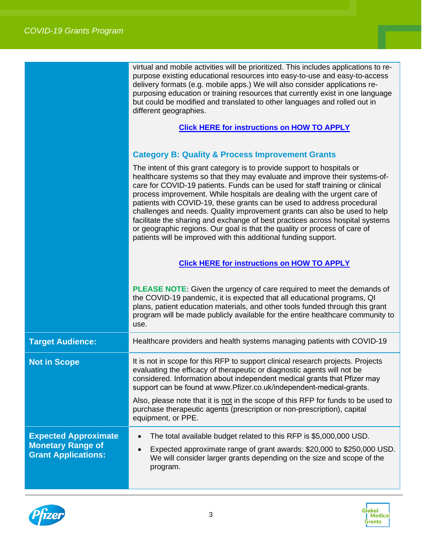|                         | virtual and mobile activities will be prioritized. This includes applications to re-<br>purpose existing educational resources into easy-to-use and easy-to-access<br>delivery formats (e.g. mobile apps.) We will also consider applications re-<br>purposing education or training resources that currently exist in one language<br>but could be modified and translated to other languages and rolled out in<br>different geographies.<br><b>Click HERE for instructions on HOW TO APPLY</b>                                                                                                                                                                                                          |
|-------------------------|-----------------------------------------------------------------------------------------------------------------------------------------------------------------------------------------------------------------------------------------------------------------------------------------------------------------------------------------------------------------------------------------------------------------------------------------------------------------------------------------------------------------------------------------------------------------------------------------------------------------------------------------------------------------------------------------------------------|
|                         | <b>Category B: Quality &amp; Process Improvement Grants</b>                                                                                                                                                                                                                                                                                                                                                                                                                                                                                                                                                                                                                                               |
|                         | The intent of this grant category is to provide support to hospitals or<br>healthcare systems so that they may evaluate and improve their systems-of-<br>care for COVID-19 patients. Funds can be used for staff training or clinical<br>process improvement. While hospitals are dealing with the urgent care of<br>patients with COVID-19, these grants can be used to address procedural<br>challenges and needs. Quality improvement grants can also be used to help<br>facilitate the sharing and exchange of best practices across hospital systems<br>or geographic regions. Our goal is that the quality or process of care of<br>patients will be improved with this additional funding support. |
|                         | <b>Click HERE for instructions on HOW TO APPLY</b>                                                                                                                                                                                                                                                                                                                                                                                                                                                                                                                                                                                                                                                        |
|                         | <b>PLEASE NOTE:</b> Given the urgency of care required to meet the demands of<br>the COVID-19 pandemic, it is expected that all educational programs, QI<br>plans, patient education materials, and other tools funded through this grant<br>program will be made publicly available for the entire healthcare community to<br>use.                                                                                                                                                                                                                                                                                                                                                                       |
| <b>Target Audience:</b> | Healthcare providers and health systems managing patients with COVID-19                                                                                                                                                                                                                                                                                                                                                                                                                                                                                                                                                                                                                                   |
| <b>Not in Scope</b>     | It is not in scope for this RFP to support clinical research projects. Projects<br>evaluating the efficacy of therapeutic or diagnostic agents will not be<br>considered. Information about independent medical grants that Pfizer may                                                                                                                                                                                                                                                                                                                                                                                                                                                                    |

Also, please note that it is not in the scope of this RFP for funds to be used to purchase therapeutic agents (prescription or non-prescription), capital equipment, or PPE.

support can be found at www.Pfizer.co.uk/independent-medical-grants.

- **Expected Approximate**  • The total available budget related to this RFP is \$5,000,000 USD. • Expected approximate range of grant awards: \$20,000 to \$250,000 USD.
	- We will consider larger grants depending on the size and scope of the program.



**Monetary Range of Grant Applications:**

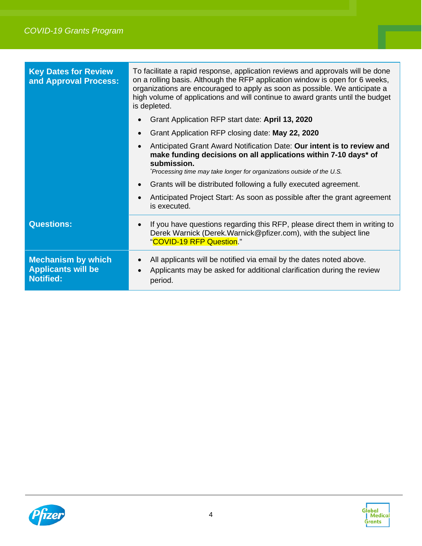| <b>Key Dates for Review</b><br>and Approval Process:                       | To facilitate a rapid response, application reviews and approvals will be done<br>on a rolling basis. Although the RFP application window is open for 6 weeks,<br>organizations are encouraged to apply as soon as possible. We anticipate a<br>high volume of applications and will continue to award grants until the budget<br>is depleted. |  |
|----------------------------------------------------------------------------|------------------------------------------------------------------------------------------------------------------------------------------------------------------------------------------------------------------------------------------------------------------------------------------------------------------------------------------------|--|
|                                                                            | Grant Application RFP start date: April 13, 2020                                                                                                                                                                                                                                                                                               |  |
|                                                                            | Grant Application RFP closing date: May 22, 2020                                                                                                                                                                                                                                                                                               |  |
|                                                                            | Anticipated Grant Award Notification Date: Our intent is to review and<br>make funding decisions on all applications within 7-10 days* of<br>submission.<br>*Processing time may take longer for organizations outside of the U.S.                                                                                                             |  |
|                                                                            | Grants will be distributed following a fully executed agreement.                                                                                                                                                                                                                                                                               |  |
|                                                                            | Anticipated Project Start: As soon as possible after the grant agreement<br>is executed.                                                                                                                                                                                                                                                       |  |
| <b>Questions:</b>                                                          | If you have questions regarding this RFP, please direct them in writing to<br>Derek Warnick (Derek. Warnick@pfizer.com), with the subject line<br>"COVID-19 RFP Question."                                                                                                                                                                     |  |
| <b>Mechanism by which</b><br><b>Applicants will be</b><br><b>Notified:</b> | All applicants will be notified via email by the dates noted above.<br>Applicants may be asked for additional clarification during the review<br>period.                                                                                                                                                                                       |  |

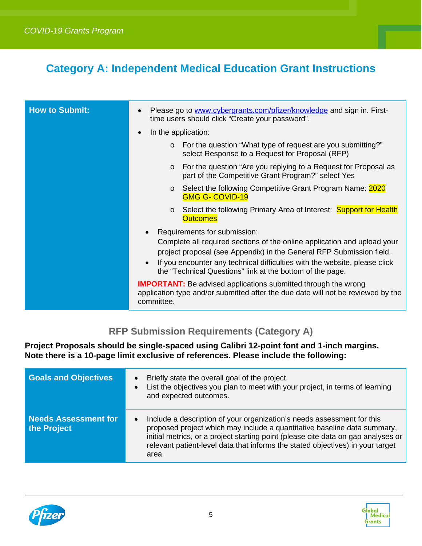## <span id="page-4-0"></span>**Category A: Independent Medical Education Grant Instructions**

| <b>How to Submit:</b> | Please go to www.cybergrants.com/pfizer/knowledge and sign in. First-<br>$\bullet$<br>time users should click "Create your password".                                                                                                                                                                                       |
|-----------------------|-----------------------------------------------------------------------------------------------------------------------------------------------------------------------------------------------------------------------------------------------------------------------------------------------------------------------------|
|                       | In the application:<br>$\bullet$                                                                                                                                                                                                                                                                                            |
|                       | o For the question "What type of request are you submitting?"<br>select Response to a Request for Proposal (RFP)                                                                                                                                                                                                            |
|                       | For the question "Are you replying to a Request for Proposal as<br>$\circ$<br>part of the Competitive Grant Program?" select Yes                                                                                                                                                                                            |
|                       | ○ Select the following Competitive Grant Program Name: 2020<br><b>GMG G- COVID-19</b>                                                                                                                                                                                                                                       |
|                       | Select the following Primary Area of Interest: Support for Health<br><b>Outcomes</b>                                                                                                                                                                                                                                        |
|                       | Requirements for submission:<br>Complete all required sections of the online application and upload your<br>project proposal (see Appendix) in the General RFP Submission field.<br>If you encounter any technical difficulties with the website, please click<br>the "Technical Questions" link at the bottom of the page. |
|                       | <b>IMPORTANT:</b> Be advised applications submitted through the wrong<br>application type and/or submitted after the due date will not be reviewed by the<br>committee.                                                                                                                                                     |

### **RFP Submission Requirements (Category A)**

**Project Proposals should be single-spaced using Calibri 12-point font and 1-inch margins. Note there is a 10-page limit exclusive of references. Please include the following:**

| <b>Goals and Objectives</b>                | Briefly state the overall goal of the project.<br>List the objectives you plan to meet with your project, in terms of learning<br>and expected outcomes.                                                                                                                                                                           |
|--------------------------------------------|------------------------------------------------------------------------------------------------------------------------------------------------------------------------------------------------------------------------------------------------------------------------------------------------------------------------------------|
| <b>Needs Assessment for</b><br>the Project | Include a description of your organization's needs assessment for this<br>proposed project which may include a quantitative baseline data summary,<br>initial metrics, or a project starting point (please cite data on gap analyses or<br>relevant patient-level data that informs the stated objectives) in your target<br>area. |



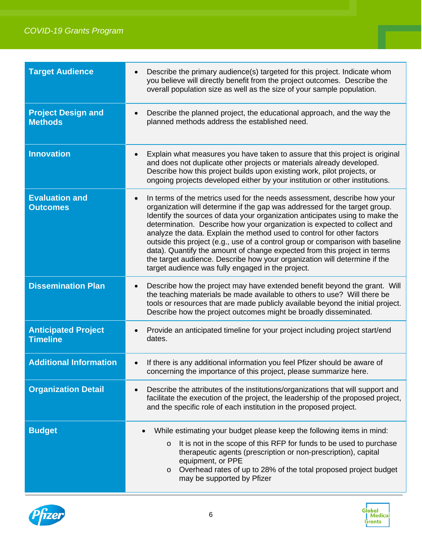| <b>Target Audience</b>                        | Describe the primary audience(s) targeted for this project. Indicate whom<br>you believe will directly benefit from the project outcomes. Describe the<br>overall population size as well as the size of your sample population.                                                                                                                                                                                                                                                                                                                                                                                                                                                             |  |  |
|-----------------------------------------------|----------------------------------------------------------------------------------------------------------------------------------------------------------------------------------------------------------------------------------------------------------------------------------------------------------------------------------------------------------------------------------------------------------------------------------------------------------------------------------------------------------------------------------------------------------------------------------------------------------------------------------------------------------------------------------------------|--|--|
| <b>Project Design and</b><br><b>Methods</b>   | Describe the planned project, the educational approach, and the way the<br>planned methods address the established need.                                                                                                                                                                                                                                                                                                                                                                                                                                                                                                                                                                     |  |  |
| <b>Innovation</b>                             | Explain what measures you have taken to assure that this project is original<br>and does not duplicate other projects or materials already developed.<br>Describe how this project builds upon existing work, pilot projects, or<br>ongoing projects developed either by your institution or other institutions.                                                                                                                                                                                                                                                                                                                                                                             |  |  |
| <b>Evaluation and</b><br><b>Outcomes</b>      | In terms of the metrics used for the needs assessment, describe how your<br>organization will determine if the gap was addressed for the target group.<br>Identify the sources of data your organization anticipates using to make the<br>determination. Describe how your organization is expected to collect and<br>analyze the data. Explain the method used to control for other factors<br>outside this project (e.g., use of a control group or comparison with baseline<br>data). Quantify the amount of change expected from this project in terms<br>the target audience. Describe how your organization will determine if the<br>target audience was fully engaged in the project. |  |  |
| <b>Dissemination Plan</b>                     | Describe how the project may have extended benefit beyond the grant. Will<br>the teaching materials be made available to others to use? Will there be<br>tools or resources that are made publicly available beyond the initial project.<br>Describe how the project outcomes might be broadly disseminated.                                                                                                                                                                                                                                                                                                                                                                                 |  |  |
| <b>Anticipated Project</b><br><b>Timeline</b> | Provide an anticipated timeline for your project including project start/end<br>dates.                                                                                                                                                                                                                                                                                                                                                                                                                                                                                                                                                                                                       |  |  |
| <b>Additional Information</b>                 | If there is any additional information you feel Pfizer should be aware of<br>$\bullet$<br>concerning the importance of this project, please summarize here.                                                                                                                                                                                                                                                                                                                                                                                                                                                                                                                                  |  |  |
| <b>Organization Detail</b>                    | Describe the attributes of the institutions/organizations that will support and<br>facilitate the execution of the project, the leadership of the proposed project,<br>and the specific role of each institution in the proposed project.                                                                                                                                                                                                                                                                                                                                                                                                                                                    |  |  |
| <b>Budget</b>                                 | While estimating your budget please keep the following items in mind:<br>It is not in the scope of this RFP for funds to be used to purchase<br>$\circ$<br>therapeutic agents (prescription or non-prescription), capital<br>equipment, or PPE<br>Overhead rates of up to 28% of the total proposed project budget<br>$\circ$<br>may be supported by Pfizer                                                                                                                                                                                                                                                                                                                                  |  |  |



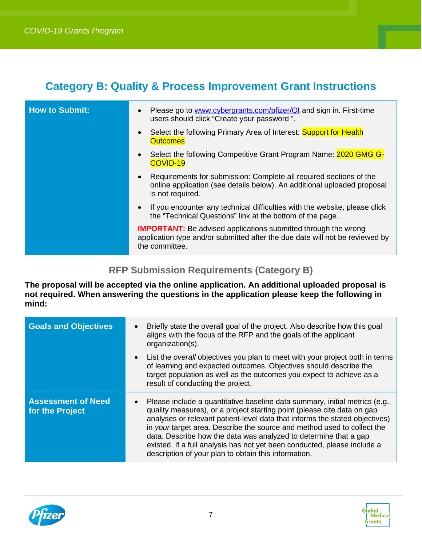## <span id="page-6-0"></span>**Category B: Quality & Process Improvement Grant Instructions**

| <b>How to Submit:</b> | Please go to www.cybergrants.com/pfizer/QI and sign in. First-time<br>$\bullet$<br>users should click "Create your password".                                                  |
|-----------------------|--------------------------------------------------------------------------------------------------------------------------------------------------------------------------------|
|                       | Select the following Primary Area of Interest: Support for Health<br><b>Outcomes</b>                                                                                           |
|                       | Select the following Competitive Grant Program Name: 2020 GMG G-<br>$\bullet$<br>COVID-19                                                                                      |
|                       | Requirements for submission: Complete all required sections of the<br>$\bullet$<br>online application (see details below). An additional uploaded proposal<br>is not required. |
|                       | • If you encounter any technical difficulties with the website, please click<br>the "Technical Questions" link at the bottom of the page.                                      |
|                       | <b>IMPORTANT:</b> Be advised applications submitted through the wrong<br>application type and/or submitted after the due date will not be reviewed by<br>the committee.        |

#### **RFP Submission Requirements (Category B)**

**The proposal will be accepted via the online application. An additional uploaded proposal is not required. When answering the questions in the application please keep the following in mind:**

| <b>Goals and Objectives</b>                  | Briefly state the overall goal of the project. Also describe how this goal<br>aligns with the focus of the RFP and the goals of the applicant<br>organization(s).                                                                                                                                                                                                                                                                                                                                                        |
|----------------------------------------------|--------------------------------------------------------------------------------------------------------------------------------------------------------------------------------------------------------------------------------------------------------------------------------------------------------------------------------------------------------------------------------------------------------------------------------------------------------------------------------------------------------------------------|
|                                              | List the <i>overall</i> objectives you plan to meet with your project both in terms<br>of learning and expected outcomes. Objectives should describe the<br>target population as well as the outcomes you expect to achieve as a<br>result of conducting the project.                                                                                                                                                                                                                                                    |
| <b>Assessment of Need</b><br>for the Project | Please include a quantitative baseline data summary, initial metrics (e.g.,<br>quality measures), or a project starting point (please cite data on gap<br>analyses or relevant patient-level data that informs the stated objectives)<br>in your target area. Describe the source and method used to collect the<br>data. Describe how the data was analyzed to determine that a gap<br>existed. If a full analysis has not yet been conducted, please include a<br>description of your plan to obtain this information. |



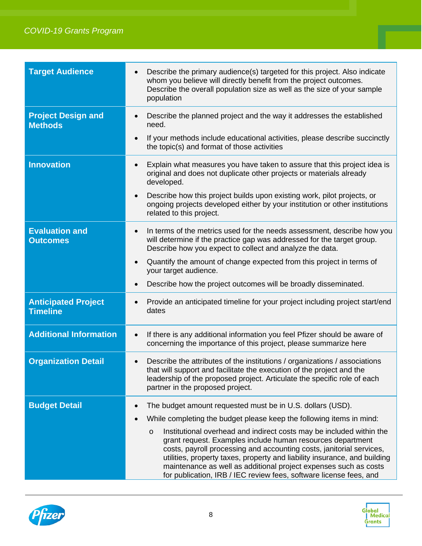#### 3 *COVID-19 Grants Program*

| <b>Target Audience</b>                        | Describe the primary audience(s) targeted for this project. Also indicate<br>whom you believe will directly benefit from the project outcomes.<br>Describe the overall population size as well as the size of your sample<br>population                                                                                                                                                                                                                                                                                                                                            |  |  |  |
|-----------------------------------------------|------------------------------------------------------------------------------------------------------------------------------------------------------------------------------------------------------------------------------------------------------------------------------------------------------------------------------------------------------------------------------------------------------------------------------------------------------------------------------------------------------------------------------------------------------------------------------------|--|--|--|
| <b>Project Design and</b><br><b>Methods</b>   | Describe the planned project and the way it addresses the established<br>need.<br>If your methods include educational activities, please describe succinctly<br>the topic(s) and format of those activities                                                                                                                                                                                                                                                                                                                                                                        |  |  |  |
| <b>Innovation</b>                             | Explain what measures you have taken to assure that this project idea is<br>$\bullet$<br>original and does not duplicate other projects or materials already<br>developed.<br>Describe how this project builds upon existing work, pilot projects, or<br>$\bullet$<br>ongoing projects developed either by your institution or other institutions<br>related to this project.                                                                                                                                                                                                      |  |  |  |
| <b>Evaluation and</b><br><b>Outcomes</b>      | In terms of the metrics used for the needs assessment, describe how you<br>$\bullet$<br>will determine if the practice gap was addressed for the target group.<br>Describe how you expect to collect and analyze the data.<br>Quantify the amount of change expected from this project in terms of<br>$\bullet$<br>your target audience.<br>Describe how the project outcomes will be broadly disseminated.<br>$\bullet$                                                                                                                                                           |  |  |  |
| <b>Anticipated Project</b><br><b>Timeline</b> | Provide an anticipated timeline for your project including project start/end<br>dates                                                                                                                                                                                                                                                                                                                                                                                                                                                                                              |  |  |  |
| <b>Additional Information</b>                 | If there is any additional information you feel Pfizer should be aware of<br>$\bullet$<br>concerning the importance of this project, please summarize here                                                                                                                                                                                                                                                                                                                                                                                                                         |  |  |  |
| <b>Organization Detail</b>                    | Describe the attributes of the institutions / organizations / associations<br>that will support and facilitate the execution of the project and the<br>leadership of the proposed project. Articulate the specific role of each<br>partner in the proposed project.                                                                                                                                                                                                                                                                                                                |  |  |  |
| <b>Budget Detail</b>                          | The budget amount requested must be in U.S. dollars (USD).<br>While completing the budget please keep the following items in mind:<br>Institutional overhead and indirect costs may be included within the<br>$\circ$<br>grant request. Examples include human resources department<br>costs, payroll processing and accounting costs, janitorial services,<br>utilities, property taxes, property and liability insurance, and building<br>maintenance as well as additional project expenses such as costs<br>for publication, IRB / IEC review fees, software license fees, and |  |  |  |